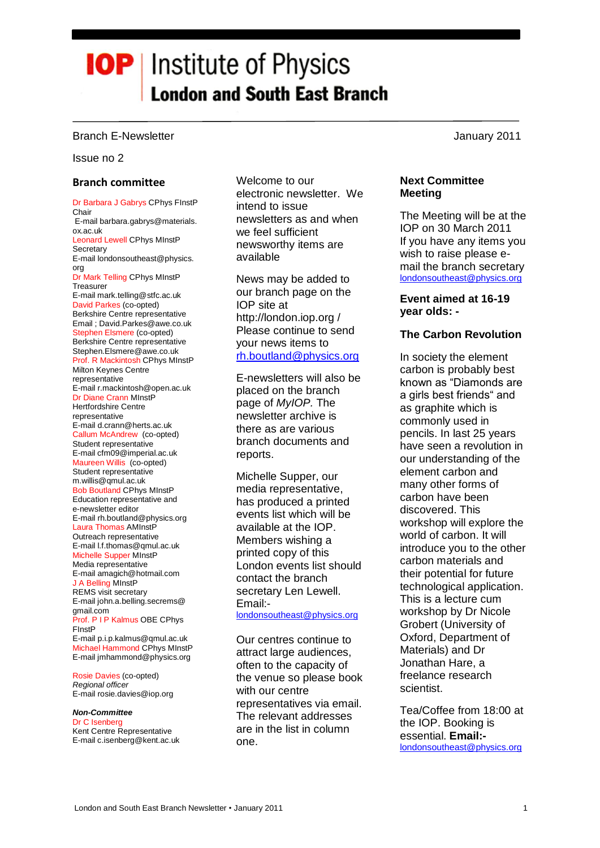# **IOP** | Institute of Physics **London and South East Branch**

# Branch E-Newsletter **Accord E-Newsletter** Accord 2011 **January 2011**

#### Issue no 2

# **Branch committee**

Dr Barbara J Gabrys CPhys FInstP Chair E-mail barbara.gabrys@materials. ox.ac.uk Leonard Lewell CPhys MInstP **Secretary** E-mail londonsoutheast@physics. org Dr Mark Telling CPhys MInstP Treasurer E-mail mark.telling@stfc.ac.uk David Parkes (co-opted) Berkshire Centre representative Email ; David.Parkes@awe.co.uk Stephen Elsmere (co-opted) Berkshire Centre representative Stephen.Elsmere@awe.co.uk Prof. R Mackintosh CPhys MInstP Milton Keynes Centre representative E-mail r.mackintosh@open.ac.uk Dr Diane Crann MInstP Hertfordshire Centre representative E-mail d.crann@herts.ac.uk Callum McAndrew (co-opted) Student representative E-mail cfm09@imperial.ac.uk Maureen Willis (co-opted) Student representative m.willis@qmul.ac.uk Bob Boutland CPhys MInstP Education representative and e-newsletter editor E-mail rh.boutland@physics.org Laura Thomas AMInstP Outreach representative E-mail l.f.thomas@qmul.ac.uk Michelle Supper MInstP Media representative E-mail amagich@hotmail.com J A Belling MInstP REMS visit secretary E-mail john.a.belling.secrems@ gmail.com Prof. P I P Kalmus OBE CPhys FInstP E-mail p.i.p.kalmus@qmul.ac.uk Michael Hammond CPhys MInstP E-mail jmhammond@physics.org

Rosie Davies (co-opted) *Regional officer* E-mail rosie.davies@iop.org

*Non-Committee* Dr C Isenberg Kent Centre Representative E-mail c.isenberg@kent.ac.uk Welcome to our electronic newsletter. We intend to issue newsletters as and when we feel sufficient newsworthy items are available

News may be added to our branch page on the IOP site at http://london.iop.org / Please continue to send your news items to [rh.boutland@physics.org](mailto:rh.boutland@physics.org) 

E-newsletters will also be placed on the branch page of *MyIOP.* The newsletter archive is there as are various branch documents and reports.

Michelle Supper, our media representative, has produced a printed events list which will be available at the IOP. Members wishing a printed copy of this London events list should contact the branch secretary Len Lewell. Email: [londonsoutheast@physics.org](mailto:londonsoutheast@physics.org)

Our centres continue to attract large audiences, often to the capacity of the venue so please book with our centre representatives via email. The relevant addresses are in the list in column one.

**Next Committee Meeting**

The Meeting will be at the IOP on 30 March 2011 If you have any items you wish to raise please email the branch secretary [londonsoutheast@physics.org](mailto:londonsoutheast@physics.org) 

# **Event aimed at 16-19 year olds: -**

# **The Carbon Revolution**

In society the element carbon is probably best known as "Diamonds are a girls best friends" and as graphite which is commonly used in pencils. In last 25 years have seen a revolution in our understanding of the element carbon and many other forms of carbon have been discovered. This workshop will explore the world of carbon. It will introduce you to the other carbon materials and their potential for future technological application. This is a lecture cum workshop by Dr Nicole Grobert (University of Oxford, Department of Materials) and Dr Jonathan Hare, a freelance research scientist.

Tea/Coffee from 18:00 at the IOP. Booking is essential. **Email:** [londonsoutheast@physics.org](mailto:londonsoutheast@physics.org)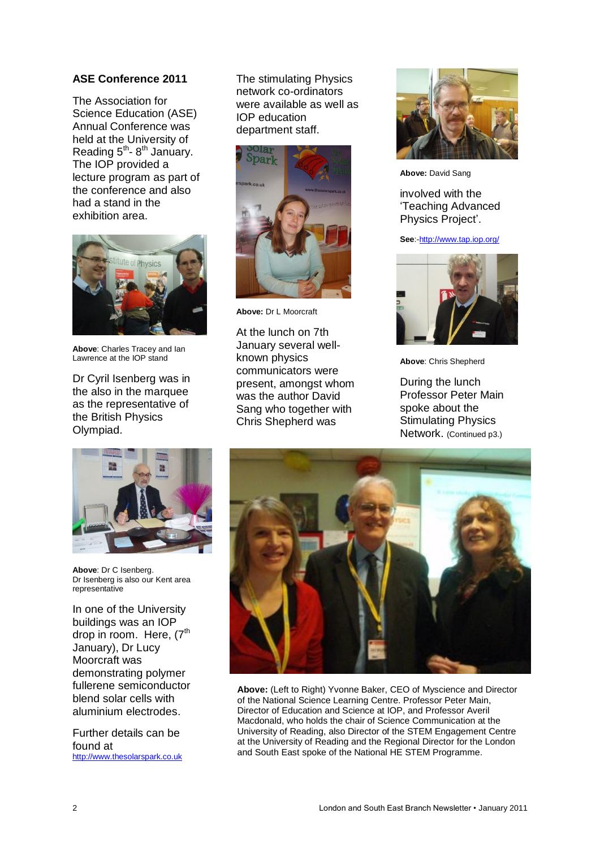# **ASE Conference 2011**

The Association for Science Education (ASE) Annual Conference was held at the University of Reading  $5^{th}$ -  $8^{th}$  January. The IOP provided a lecture program as part of the conference and also had a stand in the exhibition area.



**Above**: Charles Tracey and Ian Lawrence at the IOP stand

Dr Cyril Isenberg was in the also in the marquee as the representative of the British Physics Olympiad.

The stimulating Physics network co-ordinators were available as well as IOP education department staff.



**Above:** Dr L Moorcraft

At the lunch on 7th January several wellknown physics communicators were present, amongst whom was the author David Sang who together with Chris Shepherd was



**Above:** David Sang

involved with the "Teaching Advanced Physics Project'.

**See**:[-http://www.tap.iop.org/](http://www.tap.iop.org/)



**Above**: Chris Shepherd

During the lunch Professor Peter Main spoke about the Stimulating Physics Network. (Continued p3.)



**Above**: Dr C Isenberg. Dr Isenberg is also our Kent area representative

In one of the University buildings was an IOP drop in room. Here, (7<sup>th</sup> January), Dr Lucy Moorcraft was demonstrating polymer fullerene semiconductor blend solar cells with aluminium electrodes.

Further details can be found at [http://www.thesolarspark.co.uk](http://www.thesolarspark.co.uk/)



**Above:** (Left to Right) Yvonne Baker, CEO of Myscience and Director of the National Science Learning Centre. Professor Peter Main, Director of Education and Science at IOP, and Professor Averil Macdonald, who holds the chair of Science Communication at the University of Reading, also Director of the STEM Engagement Centre at the University of Reading and the Regional Director for the London and South East spoke of the National HE STEM Programme.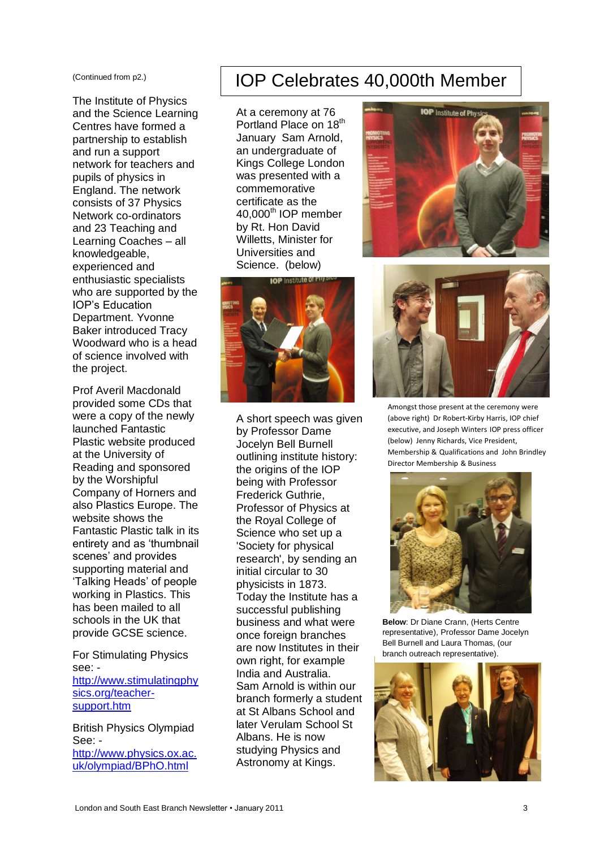(Continued from p2.)

The Institute of Physics and the Science Learning Centres have formed a partnership to establish and run a support network for teachers and pupils of physics in England. The network consists of 37 Physics Network co-ordinators and 23 Teaching and Learning Coaches – all knowledgeable, experienced and enthusiastic specialists who are supported by the IOP"s Education Department. Yvonne Baker introduced Tracy Woodward who is a head of science involved with the project.

Prof Averil Macdonald provided some CDs that were a copy of the newly launched Fantastic Plastic website produced at the University of Reading and sponsored by the Worshipful Company of Horners and also Plastics Europe. The website shows the Fantastic Plastic talk in its entirety and as "thumbnail scenes' and provides supporting material and "Talking Heads" of people working in Plastics. This has been mailed to all schools in the UK that provide GCSE science.

For Stimulating Physics see: [http://www.stimulatingphy](http://www.stimulatingphysics.org/teacher-support.htm) [sics.org/teacher](http://www.stimulatingphysics.org/teacher-support.htm)[support.htm](http://www.stimulatingphysics.org/teacher-support.htm)

British Physics Olympiad See: [http://www.physics.ox.ac.](http://www.physics.ox.ac.uk/olympiad/BPhO.html) [uk/olympiad/BPhO.html](http://www.physics.ox.ac.uk/olympiad/BPhO.html)

# IOP Celebrates 40,000th Member

At a ceremony at 76 Portland Place on 18<sup>th</sup> January Sam Arnold, an undergraduate of Kings College London was presented with a commemorative certificate as the 40,000th IOP member by Rt. Hon David Willetts, Minister for Universities and Science. (below)



A short speech was given by Professor Dame Jocelyn Bell Burnell outlining institute history: the origins of the IOP being with Professor Frederick Guthrie, Professor of Physics at the Royal College of Science who set up a 'Society for physical research', by sending an initial circular to 30 physicists in 1873. Today the Institute has a successful publishing business and what were once foreign branches are now Institutes in their own right, for example India and Australia. Sam Arnold is within our branch formerly a student at St Albans School and later Verulam School St Albans. He is now studying Physics and Astronomy at Kings.





Amongst those present at the ceremony were (above right) Dr Robert-Kirby Harris, IOP chief executive, and Joseph Winters IOP press officer (below) Jenny Richards, Vice President, Membership & Qualifications and John Brindley Director Membership & Business



**Below**: Dr Diane Crann, (Herts Centre representative), Professor Dame Jocelyn Bell Burnell and Laura Thomas, (our branch outreach representative).